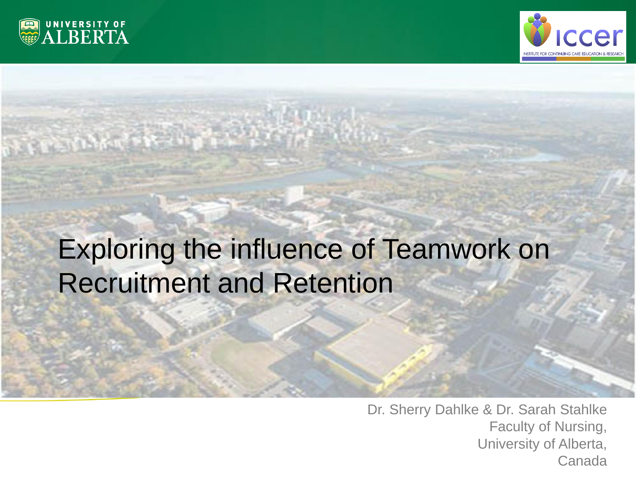



**and Retention**

# Exploring the influence of Teamwork on Recruitment and Retention

**Exploring the influence of Teamwork on Recruitment** 

Dr. Sherry Dahlke & Dr. Sarah Stahlke Faculty of Nursing, University of Alberta, Canada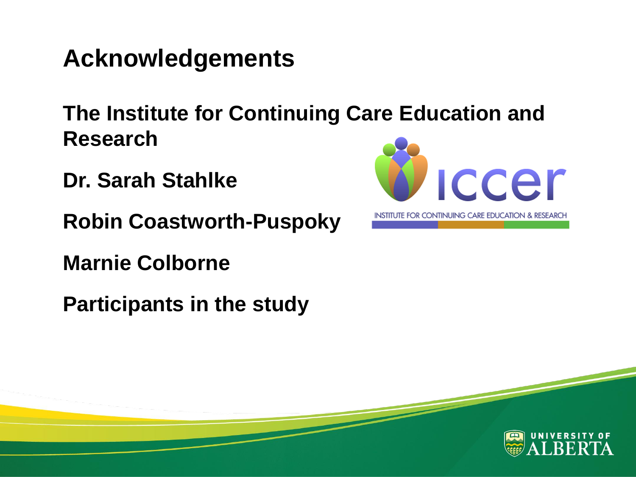### **Acknowledgements**

**The Institute for Continuing Care Education and Research**

- **Dr. Sarah Stahlke**
- **Robin Coastworth-Puspoky**
- **Marnie Colborne**
- **Participants in the study**



INSTITUTE FOR CONTINUING CARE EDUCATION & RESEARCH

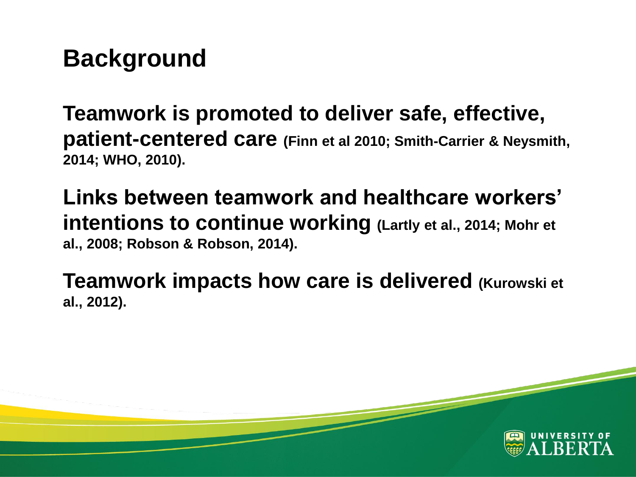# **Background**

**Teamwork is promoted to deliver safe, effective, patient-centered care (Finn et al 2010; Smith-Carrier & Neysmith, 2014; WHO, 2010).**

**Links between teamwork and healthcare workers' intentions to continue working (Lartly et al., 2014; Mohr et al., 2008; Robson & Robson, 2014).**

**Teamwork impacts how care is delivered (Kurowski et al., 2012).**

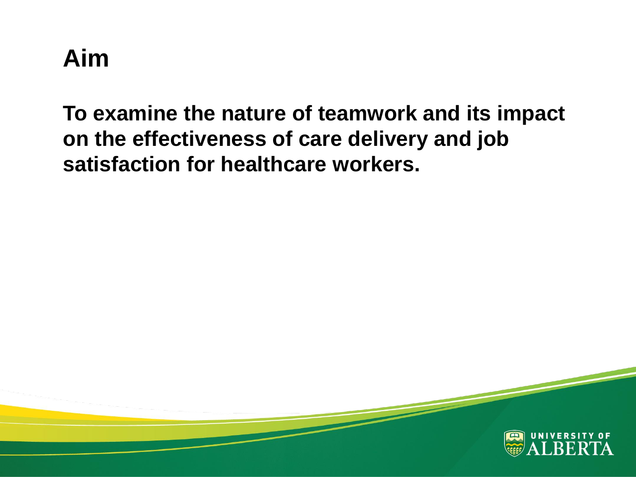# **Aim**

**To examine the nature of teamwork and its impact on the effectiveness of care delivery and job satisfaction for healthcare workers.**

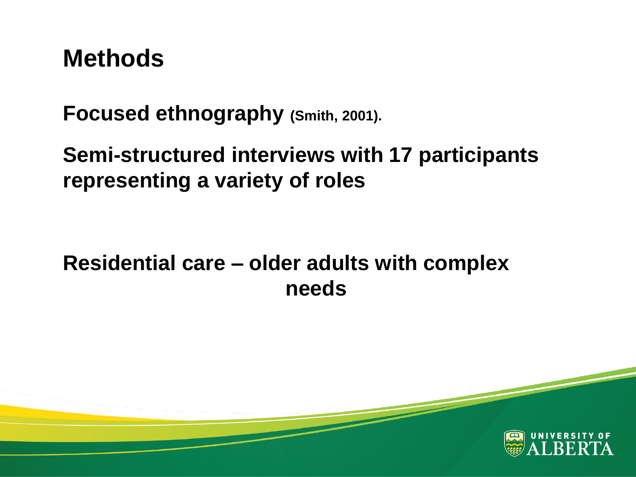### **Methods**

**Focused ethnography (Smith, 2001).**

**Semi-structured interviews with 17 participants representing a variety of roles** 

**Residential care – older adults with complex needs**

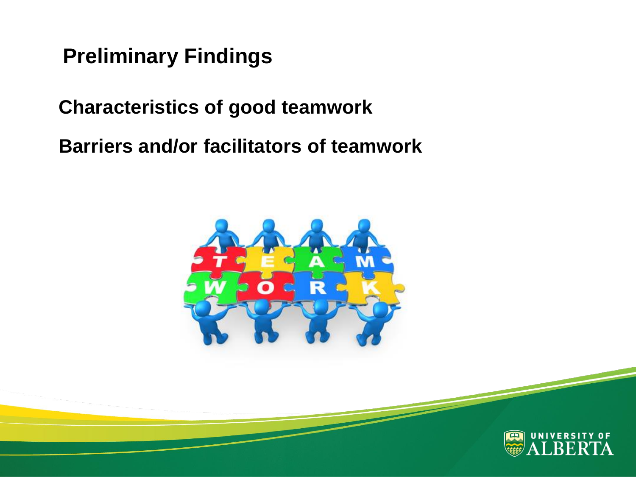**Preliminary Findings**

**Characteristics of good teamwork**

**Barriers and/or facilitators of teamwork**



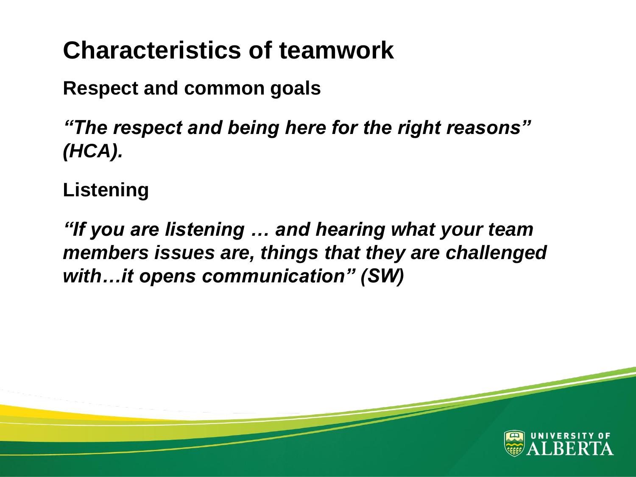# **Characteristics of teamwork**

**Respect and common goals**

*"The respect and being here for the right reasons" (HCA).*

**Listening**

*"If you are listening … and hearing what your team members issues are, things that they are challenged with…it opens communication" (SW)*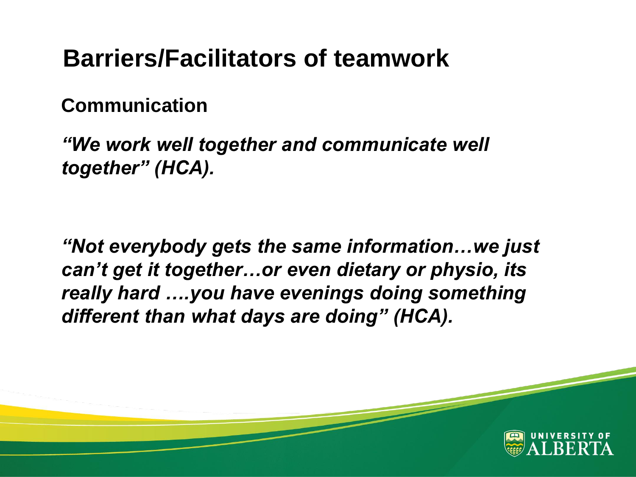### **Barriers/Facilitators of teamwork**

#### **Communication**

*"We work well together and communicate well together" (HCA).*

*"Not everybody gets the same information…we just can't get it together…or even dietary or physio, its really hard ….you have evenings doing something different than what days are doing" (HCA).*

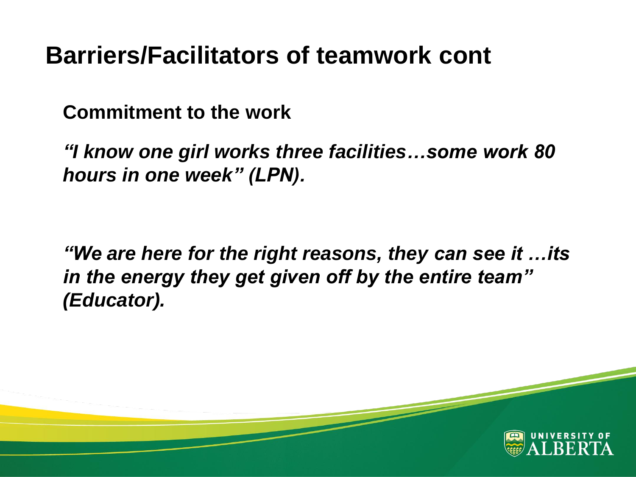### **Barriers/Facilitators of teamwork cont**

**Commitment to the work**

*"I know one girl works three facilities…some work 80 hours in one week" (LPN).*

*"We are here for the right reasons, they can see it …its in the energy they get given off by the entire team" (Educator).*

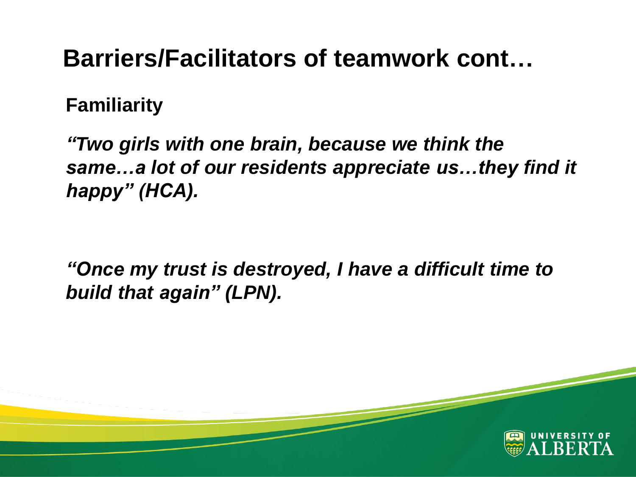### **Barriers/Facilitators of teamwork cont…**

#### **Familiarity**

*"Two girls with one brain, because we think the same…a lot of our residents appreciate us…they find it happy" (HCA).*

*"Once my trust is destroyed, I have a difficult time to build that again" (LPN).*

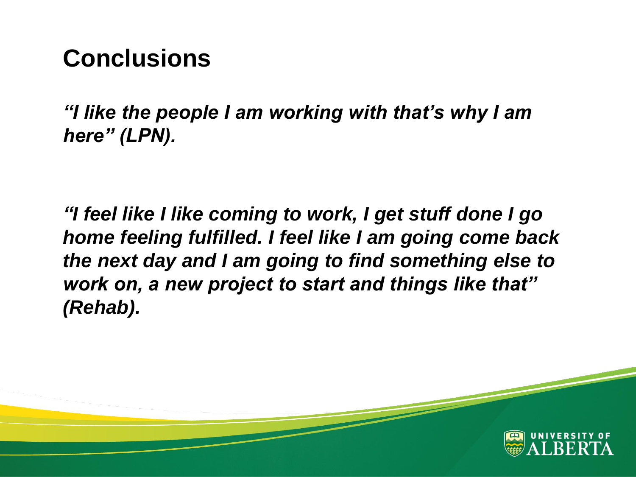### **Conclusions**

*"I like the people I am working with that's why I am here" (LPN).*

*"I feel like I like coming to work, I get stuff done I go home feeling fulfilled. I feel like I am going come back the next day and I am going to find something else to work on, a new project to start and things like that" (Rehab).*